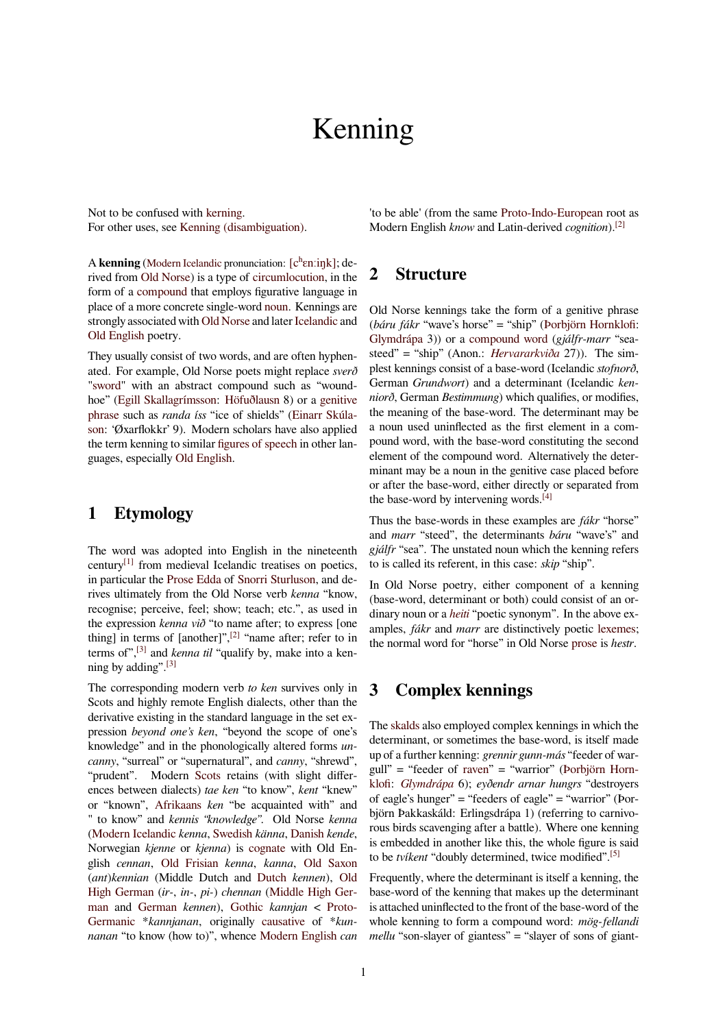# Kenning

Not to be confused with kerning. For other uses, see Kenning (disambiguation).

'to be able' (from the same Proto-Indo-European root as Modern English *know* and Latin-derived *cognition*).[2]

A **kenning** (Modern Icelandic pronunciation: [cʰɛnːiŋk]; derived from Old Norse) is [a type o](https://en.wikipedia.org/wiki/Kerning)f circumlocution, in the form of a compound [that employs figurative l](https://en.wikipedia.org/wiki/Kenning_(disambiguation))anguage in place of a more concrete single-word noun. Kennings are strongly ass[ociated with](https://en.wikipedia.org/wiki/Icelandic_language) Old Norse and later Icelandic and Old English [poetry.](https://en.wikipedia.org/wiki/Old_Norse)

They usua[lly consist o](https://en.wikipedia.org/wiki/Compound_(linguistics))f two words, and are often hyphenated. For example, Old Norse poets [migh](https://en.wikipedia.org/wiki/Noun)t replace *sverð* "sword" with an abstr[act compo](https://en.wikipedia.org/wiki/Old_Norse_poetry)und suc[h as "wou](https://en.wikipedia.org/wiki/Icelandic_literature#Skaldic_poetry)nd[hoe" \(Egill](https://en.wikipedia.org/wiki/Old_English_literature#Poetry) Skallagrímsson: Höfuðlausn 8) or a genitive phrase such as *randa íss* "ice of shields" (Einarr Skúlason: 'Øxarflokkr' 9). Modern scholars have also applied t[he term](https://en.wikipedia.org/wiki/Sword) kenning to similar figures of speech in other language[s, especially](https://en.wikipedia.org/wiki/Egill_Skallagr%C3%ADmsson) Old Engli[sh.](https://en.wikipedia.org/wiki/H%C3%B6fu%C3%B0lausn)

#### **1 Etymol[ogy](https://en.wikipedia.org/wiki/Old_English)**

The word was adopted into English in the nineteenth century[1] from medieval Icelandic treatises on poetics, in particular the Prose Edda of Snorri Sturluson, and derives ultimately from the Old Norse verb *kenna* "know, recognise; perceive, feel; show; teach; etc.", as used in the exp[res](https://en.wikipedia.org/wiki/Kenning#cite_note-1)sion *kenna við* "to name after; to express [one thing] in terms [of \[another\]](https://en.wikipedia.org/wiki/Prose_Edda)", $^{[2]}$  ["name after; re](https://en.wikipedia.org/wiki/Snorri_Sturluson)fer to in terms of",[3] and *kenna til* "qualify by, make into a kenning by adding". $[3]$ 

The corresponding modern verb *to ken* survives only in Scots and highly remote Eng[lish](https://en.wikipedia.org/wiki/Kenning#cite_note-OED_Online-2) dialects, other than the derivative [ex](https://en.wikipedia.org/wiki/Kenning#cite_note-Faulkes.2C_Anthony_1998_b-3)isting in the standard language in the set expression *beyond [o](https://en.wikipedia.org/wiki/Kenning#cite_note-Faulkes.2C_Anthony_1998_b-3)ne's ken*, "beyond the scope of one's knowledge" and in the phonologically altered forms *uncanny*, "surreal" or "supernatural", and *canny*, "shrewd", "prudent". Modern Scots retains (with slight differences between dialects) *tae ken* "to know", *kent* "knew" or "known", Afrikaans *ken* "be acquainted with" and " to know" and *kennis "knowledge"*. Old Norse *kenna* (Modern Icelandic *ken[na](https://en.wikipedia.org/wiki/Scots_language)*, Swedish *känna*, Danish *kende*, Norwegian *kjenne* or *kjenna*) is cognate with Old English *cennan*, [Old Fris](https://en.wikipedia.org/wiki/Afrikaans)ian *kenna*, *kanna*, Old Saxon (*ant*)*kennian* (Middle Dutch and Dutch *kennen*), Old [High German](https://en.wikipedia.org/wiki/Icelandic_language) (*ir-*, *in-*, *pi-*) *[chenna](https://en.wikipedia.org/wiki/Swedish_language)n* (Mid[dle Hig](https://en.wikipedia.org/wiki/Danish_language)h German and German *kennen*), Gothic *[kan](https://en.wikipedia.org/wiki/Cognate)njan* < Proto-Germanic \**ka[nnjanan](https://en.wikipedia.org/wiki/Old_Frisian)*, originally causative [of \\*](https://en.wikipedia.org/wiki/Old_Saxon)*kunnanan* "to know (how to)", whence [Mode](https://en.wikipedia.org/wiki/Dutch_language)rn English *[can](https://en.wikipedia.org/wiki/Old_High_German)*

### **2 Structure**

Old Norse kennings take the form of a genitive phrase (*báru fákr* "wave's horse" = "ship" (Þorbjörn Hornklofi: Glymdrápa 3)) or a compound word (*gjálfr-marr* "seasteed" = "ship" (Anon.: *Hervararkviða* 27)). The simplest kennings consist of a base-word (Icelandic *stofnorð*, German *Grundwort*) and a determi[nant \(Icelandic](https://en.wikipedia.org/wiki/%C3%9Eorbj%C3%B6rn_Hornklofi) *kenniorð*[, Germ](https://en.wikipedia.org/wiki/Glymdr%C3%A1pa)an *Bestimmung*[\) which qu](https://en.wikipedia.org/wiki/Compound_word)alifies, or modifies, the meaning of the base-[word. The dete](https://en.wikipedia.org/wiki/Hervararkvi%C3%B0a)rminant may be a noun used uninflected as the first element in a compound word, with the base-word constituting the second element of the compound word. Alternatively the determinant may be a noun in the genitive case placed before or after the base-word, either directly or separated from the base-word by intervening words.<sup>[4]</sup>

Thus the base-words in these examples are *fákr* "horse" and *marr* "steed", the determinants *báru* "wave's" and *gjálfr* "sea". The unstated noun which the kenning refers to is called its referent, in this case: *[ski](https://en.wikipedia.org/wiki/Kenning#cite_note-skaldic.arts.usyd.edu.au-4)p* "ship".

In Old Norse poetry, either component of a kenning (base-word, determinant or both) could consist of an ordinary noun or a *heiti* "poetic synonym". In the above examples, *fákr* and *marr* are distinctively poetic lexemes; the normal word for "horse" in Old Norse prose is *hestr*.

#### **3 Complex kennings**

The skalds also employed complex kennings in which the determinant, or sometimes the base-word, is itself made up of a further kenning: *grennir gunn-más* "feeder of wargull" = "feeder of raven" = "warrior" (Þorbjörn Hornklofi: *[Glym](https://en.wikipedia.org/wiki/Skald)drápa* 6); *eyðendr arnar hungrs* "destroyers of eagle's hunger" = "feeders of eagle" = "warrior" (Þorbjörn Þakkaskáld: Erlingsdrápa 1) (referring to carnivorous birds scavengi[ng afte](https://en.wikipedia.org/wiki/Raven)r a battle). W[here one kenning](https://en.wikipedia.org/wiki/%C3%9Eorbj%C3%B6rn_Hornklofi) [is em](https://en.wikipedia.org/wiki/%C3%9Eorbj%C3%B6rn_Hornklofi)[bedded in an](https://en.wikipedia.org/wiki/Glymdr%C3%A1pa)other like this, the whole figure is said to be *tvíkent* "doubly determined, twice modified".[5]

Frequently, where the determinant is itself a kenning, the base-word of the kenning that makes up the determinant is attached uninflected to the front of the base-word [of](https://en.wikipedia.org/wiki/Kenning#cite_note-Faulkes_1999.2C_p._5.2F12-5) the whole kenning to form a compound word: *mög-fellandi mellu* "son-slayer of giantess" = "slayer of sons of giant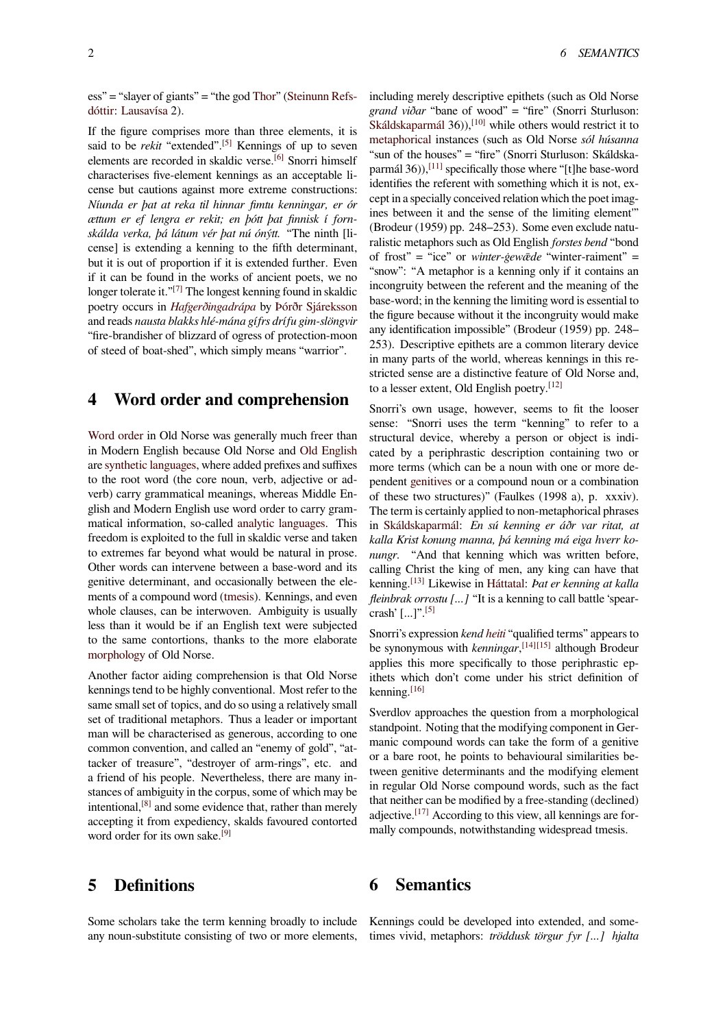ess" = "slayer of giants" = "the god Thor" (Steinunn Refsdóttir: Lausavísa 2).

If the figure comprises more than three elements, it is said to be *rekit* "extended".[5] Kennings of up to seven elementsare recorded in skaldic v[erse.](https://en.wikipedia.org/wiki/Thor)<sup>[6]</sup> [Snorri himself](https://en.wikipedia.org/wiki/Steinunn_Refsd%C3%B3ttir) [chara](https://en.wikipedia.org/wiki/Steinunn_Refsd%C3%B3ttir)c[terises five](https://en.wikipedia.org/wiki/Lausav%C3%ADsa)-element kennings as an acceptable license but cautions against more extreme constructions: *Níunda er þat at reka til h[inn](https://en.wikipedia.org/wiki/Kenning#cite_note-Faulkes_1999.2C_p._5.2F12-5)ar fimtu kenningar, er ór ættum er ef lengra er rekit; en þóttþ[at](https://en.wikipedia.org/wiki/Kenning#cite_note-6) finnisk í fornskálda verka, þá látum vér þat nú ónýtt.* "The ninth [license] is extending a kenning to the fifth determinant, but it is out of proportion if it is extended further. Even if it can be found in the works of ancient poets, we no longer tolerate it."<sup>[7]</sup> The longest kenning found in skaldic poetry occurs in *Hafgerðingadrápa* by Þórðr Sjáreksson and reads *nausta blakks hlé-mána gífrs drífu gim-slöngvir* "fire-brandisher of blizzard of ogress of protection-moon of steed of boat-s[hed](https://en.wikipedia.org/wiki/Kenning#cite_note-7)", which simply means "warrior".

#### **4 Word order and comprehension**

Word order in Old Norse was generally much freer than in Modern English because Old Norse and Old English are synthetic languages, where added prefixes and suffixes to the root word (the core noun, verb, adjective or ad[verb\) carry](https://en.wikipedia.org/wiki/Word_order) grammatical meanings, whereas Middle English and Modern English use word order to [carry gram](https://en.wikipedia.org/wiki/Old_English)ma[tical information, so](https://en.wikipedia.org/wiki/Synthetic_language)-called analytic languages. This freedom is exploited to the full in skaldic verse and taken to extremes far beyond what would be natural in prose. Other words can intervene between a base-word and its genitive determinant, and occa[sionally between th](https://en.wikipedia.org/wiki/Isolating_language)e elements of a compound word (tmesis). Kennings, and even whole clauses, can be interwoven. Ambiguity is usually less than it would be if an English text were subjected to the same contortions, thanks to the more elaborate morphology of Old Norse.

Another factor aiding comprehension is that Old Norse kennings tend to be highly conventional. Most refer to the same small set of topics, and do so using a relatively small [set of traditi](https://en.wikipedia.org/wiki/Morphology_(linguistics))onal metaphors. Thus a leader or important man will be characterised as generous, according to one common convention, and called an "enemy of gold", "attacker of treasure", "destroyer of arm-rings", etc. and a friend of his people. Nevertheless, there are many instances of ambiguity in the corpus, some of which may be intentional,[8] and some evidence that, rather than merely accepting it from expediency, skalds favoured contorted word order for its own sake.[9]

#### **5 Definitions**

Some scholars take the term kenning broadly to include any noun-substitute consisting of two or more elements, including merely descriptive epithets (such as Old Norse *grand viðar* "bane of wood" = "fire" (Snorri Sturluson: Skáldskaparmál 36)),<sup>[10]</sup> while others would restrict it to metaphorical instances (such as Old Norse *sól húsanna* "sun of the houses" = "fire" (Snorri Sturluson: Skáldskaparmál 36)), $^{[11]}$  specifically those where "[t]he base-word [identifies the ref](https://en.wikipedia.org/wiki/Sk%C3%A1ldskaparm%C3%A1l)erent [wit](https://en.wikipedia.org/wiki/Kenning#cite_note-10)h something which it is not, ex[cept in a spec](https://en.wikipedia.org/wiki/Metaphor)ially conceived relation which the poet imagines between it and the sense of the limiting element'" (Brodeur (1[959](https://en.wikipedia.org/wiki/Kenning#cite_note-Heusler_1941.2C_p._137-11)) pp. 248–253). Some even exclude naturalistic metaphors such as Old English *forstes bend* "bond of frost" = "ice" or *winter-ġewǣde* "winter-raiment" = "snow": "A metaphor is a kenning only if it contains an incongruity between the referent and the meaning of the base-word; in the kenning the limiting word is essential to the figure because without it the incongruity would make any identification impossible" (Brodeur (1959) pp. 248– 253). Descriptive epithets are a common literary device in many parts of the world, whereas kennings in this restricted sense are a distinctive feature of Old Norse and, to a lesser extent, Old English poetry.[12]

Snorri's own usage, however, seems to fit the looser sense: "Snorri uses the term "kenning" to refer to a structural device, whereby a person [or](https://en.wikipedia.org/wiki/Kenning#cite_note-12) object is indicated by a periphrastic description containing two or more terms (which can be a noun with one or more dependent genitives or a compound noun or a combination of these two structures)" (Faulkes (1998 a), p. xxxiv). The term is certainly applied to non-metaphorical phrases in Skáldskaparmál: *En sú kenning er áðr var ritat, at kalla Kr[ist konung](https://en.wikipedia.org/wiki/Genitive) manna, þá kenning má eiga hverr konungr.* "And that kenning which was written before, calling Christ the king of men, any king can have that kenning.[13] [Likewi](https://en.wikipedia.org/wiki/Sk%C3%A1ldskaparm%C3%A1l)se in Háttatal: *Þat er kenning at kalla fleinbrak orrostu [...]* "It is a kenning to call battle 'spearcrash'  $[...]$ ".<sup>[5]</sup>

Snorri's expression *kend heiti* "qualified terms" appears to be syno[nym](https://en.wikipedia.org/wiki/Kenning#cite_note-13)ous with *ke[nningar](https://en.wikipedia.org/wiki/H%C3%A1ttatal)*, [14][15] although Brodeur applies this more specifically to those periphrastic epithets whic[h](https://en.wikipedia.org/wiki/Kenning#cite_note-Faulkes_1999.2C_p._5.2F12-5) don't come under his strict definition of kenning.<sup>[16]</sup>

Sverdlov approaches the questi[on](https://en.wikipedia.org/wiki/Kenning#cite_note-14)[f](https://en.wikipedia.org/wiki/Kenning#cite_note-14)[rom](https://en.wikipedia.org/wiki/Kenning#cite_note-15) a morphological standpoint. Noting that the modifying component in Germanic c[omp](https://en.wikipedia.org/wiki/Kenning#cite_note-16)ound words can take the form of a genitive or a bare root, he points to behavioural similarities between genitive determinants and the modifying element in regular Old Norse compound words, such as the fact that neither can be modified by a free-standing (declined) adjective.<sup>[17]</sup> According to this view, all kennings are formally compounds, notwithstanding widespread tmesis.

#### **6 Se[ma](https://en.wikipedia.org/wiki/Kenning#cite_note-17)ntics**

Kennings could be developed into extended, and sometimes vivid, metaphors: *tröddusk törgur fyr [...] hjalta*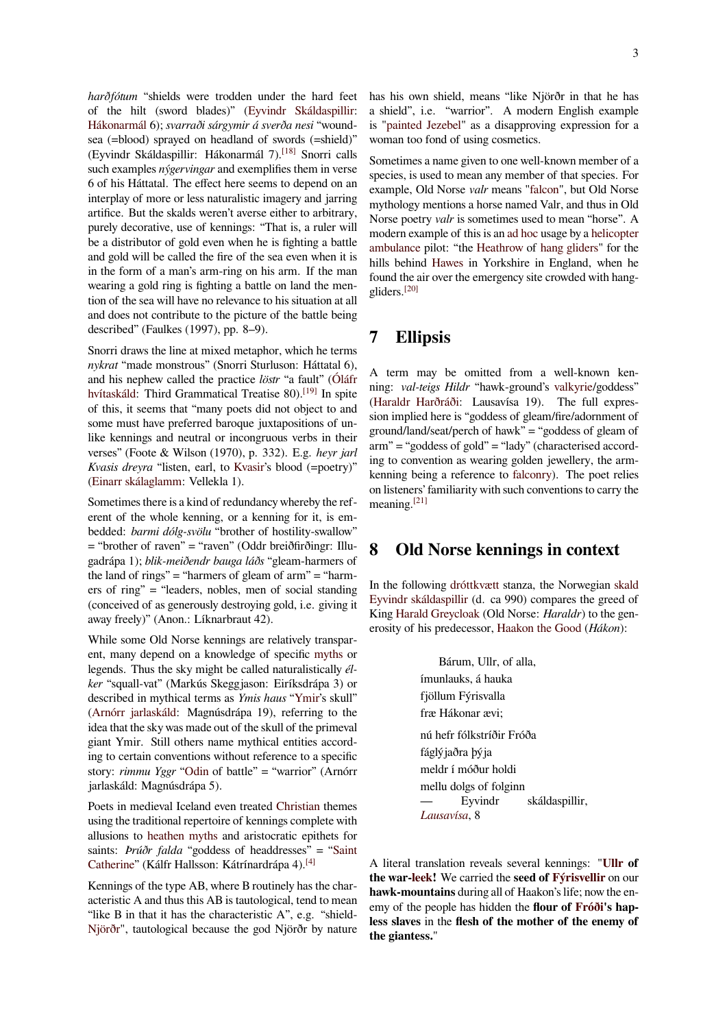*harðfótum* "shields were trodden under the hard feet of the hilt (sword blades)" (Eyvindr Skáldaspillir: Hákonarmál 6); *svarraði sárgymir á sverða nesi* "woundsea (=blood) sprayed on headland of swords (=shield)" (Eyvindr Skáldaspillir: Hákonarmál 7).<sup>[18]</sup> Snorri calls such examples *nýgervingar* and e[xemplifies them in verse](https://en.wikipedia.org/wiki/Eyvindr_Sk%C3%A1ldaspillir) [6 of his Hátt](https://en.wikipedia.org/wiki/H%C3%A1konarm%C3%A1l)atal. The effect here seems to depend on an interplay of more or less naturalistic imagery and jarring artifice. But the skalds weren't averse eit[her](https://en.wikipedia.org/wiki/Kenning#cite_note-18) to arbitrary, purely decorative, use of kennings: "That is, a ruler will be a distributor of gold even when he is fighting a battle and gold will be called the fire of the sea even when it is in the form of a man's arm-ring on his arm. If the man wearing a gold ring is fighting a battle on land the mention of the sea will have no relevance to his situation at all and does not contribute to the picture of the battle being described" (Faulkes (1997), pp. 8–9).

Snorri draws the line at mixed metaphor, which he terms *nykrat* "made monstrous" (Snorri Sturluson: Háttatal 6), and his nephew called the practice *löstr* "a fault" (Óláfr hvítaskáld: Third Grammatical Treatise 80).<sup>[19]</sup> In spite of this, it seems that "many poets did not object to and some must have preferred baroque juxtapositions of unlike kennings and neutral or incongruous verbs in [their](https://en.wikipedia.org/wiki/%C3%93l%C3%A1fr_%C3%9E%C3%B3r%C3%B0arson) [verses" \(F](https://en.wikipedia.org/wiki/%C3%93l%C3%A1fr_%C3%9E%C3%B3r%C3%B0arson)oote & Wilson (1970), p. 332). E[.g.](https://en.wikipedia.org/wiki/Kenning#cite_note-19) *heyr jarl Kvasis dreyra* "listen, earl, to Kvasir's blood (=poetry)" (Einarr skálaglamm: Vellekla 1).

Sometimes there is a kind of redundancy whereby the referent of the whole kenning, or a kenning for it, is embedded: *barmi dólg-svölu* "br[other of](https://en.wikipedia.org/wiki/Kvasir) hostility-swallow" [= "brother of raven"](https://en.wikipedia.org/wiki/Einarr_sk%C3%A1laglamm) = "raven" (Oddr breiðfirðingr: Illugadrápa 1); *blik-meiðendr bauga láðs* "gleam-harmers of the land of rings" = "harmers of gleam of arm" = "harmers of ring" = "leaders, nobles, men of social standing (conceived of as generously destroying gold, i.e. giving it away freely)" (Anon.: Líknarbraut 42).

While some Old Norse kennings are relatively transparent, many depend on a knowledge of specific myths or legends. Thus the sky might be called naturalistically *élker* "squall-vat" (Markús Skeggjason: Eiríksdrápa 3) or described in mythical terms as *Ymis haus* "Ymir's skull" (Arnórr jarlaskáld: Magnúsdrápa 19), referri[ng to t](https://en.wikipedia.org/wiki/Norse_mythology)he idea that the sky was made out of the skull of the primeval giant Ymir. Still others name mythical entities according to certain conventions without referenc[e to a](https://en.wikipedia.org/wiki/Ymir) specific story: *[rimmu Yggr](https://en.wikipedia.org/wiki/Arn%C3%B3rr_jarlask%C3%A1ld)* "Odin of battle" = "warrior" (Arnórr jarlaskáld: Magnúsdrápa 5).

Poets in medieval Iceland even treated Christian themes using the traditional repertoire of kennings complete with allusions to heathe[n myth](https://en.wikipedia.org/wiki/Odin)s and aristocratic epithets for saints: *Þrúðr falda* "goddess of headdresses" = "Saint Catherine" (Kálfr Hallsson: Kátrínardr[ápa 4\).](https://en.wikipedia.org/wiki/Christian)<sup>[4]</sup>

Kennings of the type AB, where B routinely has the characteristic A [and thus this AB](https://en.wikipedia.org/wiki/Norse_mythology) is tautological, tend to mean "like B in that it has the characteristic A", e[.g.](https://en.wikipedia.org/wiki/Kenning#cite_note-skaldic.arts.usyd.edu.au-4) "s[hield-](https://en.wikipedia.org/wiki/Catherine_of_Alexandria)[Njörðr", t](https://en.wikipedia.org/wiki/Catherine_of_Alexandria)autological because the god Njörðr by nature

has his own shield, means "like Njörðr in that he has a shield", i.e. "warrior". A modern English example is "painted Jezebel" as a disapproving expression for a woman too fond of using cosmetics.

Sometimes a name given to one well-known member of a species, is used to mean any member of that species. For exa[mple, Old Norse](https://en.wikipedia.org/wiki/Jezebel#Cultural_symbol) *valr* means "falcon", but Old Norse mythology mentions a horse named Valr, and thus in Old Norse poetry *valr* is sometimes used to mean "horse". A modern example of this is an ad hoc usage by a helicopter ambulance pilot: "the Heathrow of [hang](https://en.wikipedia.org/wiki/Falcon) gliders" for the hills behind Hawes in Yorkshire in England, when he found the air over the emergency site crowded with hanggliders.[20]

## **7 [Elli](https://en.wikipedia.org/wiki/Kenning#cite_note-20)p[sis](https://en.wikipedia.org/wiki/Hawes)**

A term may be omitted from a well-known kenning: *val-teigs Hildr* "hawk-ground's valkyrie/goddess" (Haraldr Harðráði: Lausavísa 19). The full expression implied here is "goddess of gleam/fire/adornment of ground/land/seat/perch of hawk" = "goddess of gleam of arm" = "goddess of gold" = "lady" (cha[racterise](https://en.wikipedia.org/wiki/Valkyrie)d accordi[ng to convention a](https://en.wikipedia.org/wiki/Harald_Hardrada)s wearing golden jewellery, the armkenning being a reference to falconry). The poet relies on listeners' familiarity with such conventions to carry the meaning.[21]

# **8 O[ld](https://en.wikipedia.org/wiki/Kenning#cite_note-21) Norse kenn[ings i](https://en.wikipedia.org/wiki/Falconry)n context**

In the following dróttkvætt stanza, the Norwegian skald Eyvindr skáldaspillir (d. ca 990) compares the greed of King Harald Greycloak (Old Norse: *Haraldr*) to the generosity of his predecessor, Haakon the Good (*Hákon*):

> [Bárum](https://en.wikipedia.org/wiki/Eyvindr_sk%C3%A1ldaspillir), Ullr, of alla, [ímunlauks, á](https://en.wikipedia.org/wiki/Harald_Greycloak) hauka fjöllum Fýrisval[la](https://en.wikipedia.org/wiki/Haakon_the_Good) fræ Hákonar ævi; nú hefr fólkstríðir Fróða fáglýjaðra þýja meldr í móður holdi mellu dolgs of folginn — Eyvindr skáldaspillir, *Lausavísa*, 8

A literal translation reveals several kennings: "**Ullr of the war-leek!** [We ca](https://en.wikipedia.org/wiki/Lausav%C3%ADsa)rried the **seed of Fýrisvellir** on our **hawk-mountains** during all of Haakon's life; now the enemy of the people has hidden the **flour of Fróði's hapless slaves** in the **flesh of the mother of the e[nemy](https://en.wikipedia.org/wiki/Ullr) of the gian[tess.](https://en.wikipedia.org/wiki/Leek)**"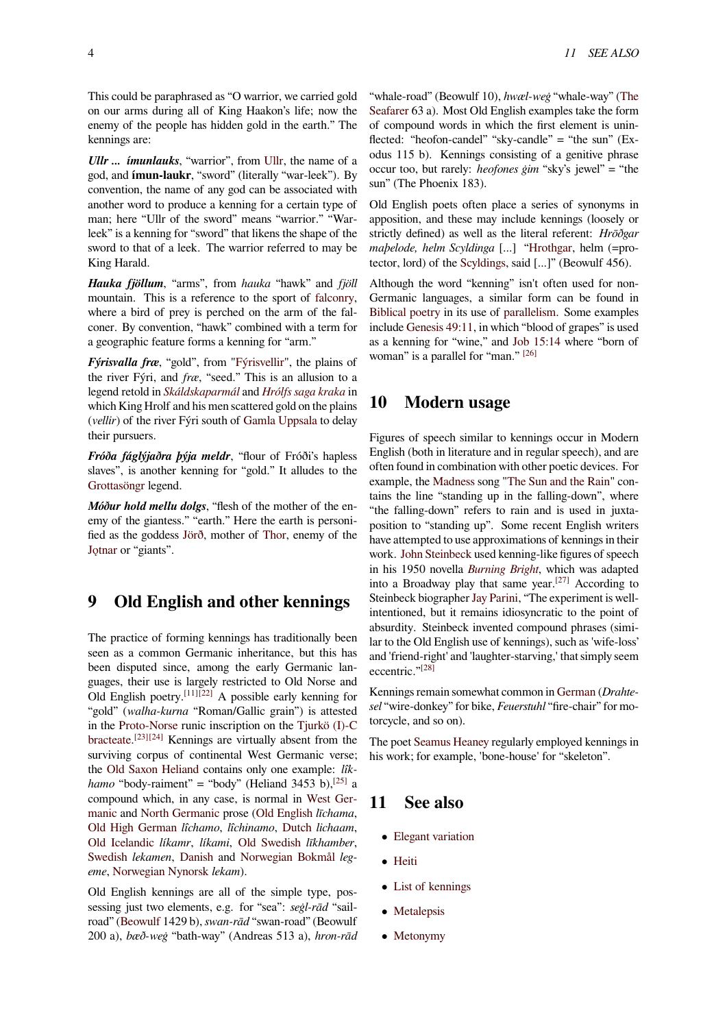This could be paraphrased as "O warrior, we carried gold on our arms during all of King Haakon's life; now the enemy of the people has hidden gold in the earth." The kennings are:

*Ullr ... ímunlauks*, "warrior", from Ullr, the name of a god, and **ímun-laukr**, "sword" (literally "war-leek"). By convention, the name of any god can be associated with another word to produce a kenning for a certain type of man; here "Ullr of the sword" mea[ns "w](https://en.wikipedia.org/wiki/Ullr)arrior." "Warleek" is a kenning for "sword" that likens the shape of the sword to that of a leek. The warrior referred to may be King Harald.

*Hauka fjöllum*, "arms", from *hauka* "hawk" and *fjöll* mountain. This is a reference to the sport of falconry, where a bird of prey is perched on the arm of the falconer. By convention, "hawk" combined with a term for a geographic feature forms a kenning for "arm."

*Fýrisvalla fræ*, "gold", from "Fýrisvellir", the [plains of](https://en.wikipedia.org/wiki/Falconry) the river Fýri, and *fræ*, "seed." This is an allusion to a legend retold in *Skáldskaparmál* and *Hrólfs saga kraka* in which King Hrolf and his men scattered gold on the plains (*vellir*) of the river Fýri south of [Gamla U](https://en.wikipedia.org/wiki/Fyrisvellir)ppsala to delay their pursuers.

*Fróða fáglýjað[ra þýja meldr](https://en.wikipedia.org/wiki/Sk%C3%A1ldskaparm%C3%A1l)*, "flou[r of Fróði's haple](https://en.wikipedia.org/wiki/Hr%C3%B3lfs_saga_kraka)ss slaves", is another kenning for ["gold." It allude](https://en.wikipedia.org/wiki/Gamla_Uppsala)s to the Grottasöngr legend.

*Móður hold mellu dolgs*, "flesh of the mother of the enemy of the giantess." "earth." Here the earth is personified as the goddess Jörð, mother of Thor, enemy of the [Jǫtnar](https://en.wikipedia.org/wiki/Grottas%C3%B6ngr) or "giants".

#### **[9 O](https://en.wikipedia.org/wiki/J%C3%B6tunn)ld Engl[ish](https://en.wikipedia.org/wiki/J%C3%B6r%C3%B0) and ot[her k](https://en.wikipedia.org/wiki/Thor)ennings**

The practice of forming kennings has traditionally been seen as a common Germanic inheritance, but this has been disputed since, among the early Germanic languages, their use is largely restricted to Old Norse and Old English poetry.<sup>[11][22]</sup> A possible early kenning for "gold" (*walha-kurna* "Roman/Gallic grain") is attested in the Proto-Norse runic inscription on the Tjurkö (I)-C bracteate.<sup>[23][24]</sup> Kennings are virtually absent from the surviving corpus of [co](https://en.wikipedia.org/wiki/Kenning#cite_note-Heusler_1941.2C_p._137-11)[nti](https://en.wikipedia.org/wiki/Kenning#cite_note-22)nental West Germanic verse; the Old Saxon Heliand contains only one example: *lîkhamo* ["body-raime](https://en.wikipedia.org/wiki/Proto-Norse_language)nt" = "body" (Heliand [3453 b\),](https://en.wikipedia.org/wiki/Tjurk%C3%B6_bracteates)<sup>[25]</sup> a [compoun](https://en.wikipedia.org/wiki/Tjurk%C3%B6_bracteates)[d w](https://en.wikipedia.org/wiki/Kenning#cite_note-23)[hic](https://en.wikipedia.org/wiki/Kenning#cite_note-24)h, in any case, is normal in West Germanic and North Germanic prose (Old English *līchama*, Old [High Germ](https://en.wikipedia.org/wiki/Old_Saxon)an *[lîcha](https://en.wikipedia.org/wiki/Heliand)mo*, *lîchinamo*, Dutch *lichaam*, Old Icelandic *líkamr*, *líkami*, Old Swedish *līkha[mbe](https://en.wikipedia.org/wiki/Kenning#cite_note-25)r*, Swedish *lekamen*, Danish and Norwegian B[okmål](https://en.wikipedia.org/wiki/West_Germanic_languages) *leg[eme](https://en.wikipedia.org/wiki/West_Germanic_languages)*, Norw[egian Nynorsk](https://en.wikipedia.org/wiki/North_Germanic_languages) *lekam*).

[Old English kenni](https://en.wikipedia.org/wiki/Old_High_German)ngs are all of the si[mple ty](https://en.wikipedia.org/wiki/Dutch_language)pe, pos[sessing just tw](https://en.wikipedia.org/wiki/Old_Norse)o elements, e.g. [for "sea":](https://en.wikipedia.org/wiki/Old_Norse) *seġl-rād* "sail[road" \(B](https://en.wikipedia.org/wiki/Swedish_language)eowulf 14[29 b\),](https://en.wikipedia.org/wiki/Danish_language) *swan-rād* ["swan-road" \(Beo](https://en.wikipedia.org/wiki/Bokm%C3%A5l)wulf 200 a), *[bæð-weġ](https://en.wikipedia.org/wiki/Nynorsk)* "bath-way" (Andreas 513 a), *hron-rād*

"whale-road" (Beowulf 10), *hwæl-weġ* "whale-way" (The Seafarer 63 a). Most Old English examples take the form of compound words in which the first element is uninflected: "heofon-candel" "sky-candle" = "the sun" (Exodus 115 b). Kennings consisting of a genitive ph[rase](https://en.wikipedia.org/wiki/The_Seafarer_(poem)) [occur to](https://en.wikipedia.org/wiki/The_Seafarer_(poem))o, but rarely: *heofones ġim* "sky's jewel" = "the sun" (The Phoenix 183).

Old English poets often place a series of synonyms in apposition, and these may include kennings (loosely or strictly defined) as well as the literal referent: *Hrōðgar maþelode, helm Scyldinga* [...] "Hrothgar, helm (=protector, lord) of the Scyldings, said [...]" (Beowulf 456).

Although the word "kenning" isn't often used for non-Germanic languages, a similar form can be found in Biblical poetry in its use of paral[lelism. So](https://en.wikipedia.org/wiki/Hrothgar)me examples include Genesis 49[:11, in whi](https://en.wikipedia.org/wiki/Scylding)ch "blood of grapes" is used as a kenning for "wine," and Job 15:14 where "born of woman" is a parallel for "man." [26]

#### **10 [Modern u](http://www.mechon-mamre.org/p/pt/pt0149.htm#11)sage**

Figures of speech similar to kennings occur in Modern English (both in literature and in regular speech), and are often found in combination with other poetic devices. For example, the Madness song "The Sun and the Rain" contains the line "standing up in the falling-down", where "the falling-down" refers to rain and is used in juxtaposition to "standing up". Some recent English writers have attempt[ed to use a](https://en.wikipedia.org/wiki/Madness_(band))pprox[imations of kennings in](https://en.wikipedia.org/wiki/The_Sun_and_the_Rain) their work. John Steinbeck used kenning-like figures of speech in his 1950 novella *Burning Bright*, which was adapted into a Broadway play that same year.<sup>[27]</sup> According to Steinbeck biographer Jay Parini, "The experiment is wellintenti[oned, but it rem](https://en.wikipedia.org/wiki/John_Steinbeck)ains idiosyncratic to the point of absurdity. Steinbec[k invented comp](https://en.wikipedia.org/wiki/Burning_Bright)ound phrases (similar to the Old English use of kennings), [suc](https://en.wikipedia.org/wiki/Kenning#cite_note-27)h as 'wife-loss' and 'friend-right' and ['laughter-s](https://en.wikipedia.org/wiki/Jay_Parini)tarving,' that simply seem eccentric."[28]

Kennings remain somewhat common in German (*Drahtesel* "wire-donkey" for bike, *Feuerstuhl* "fire-chair" for motorcycle, a[nd s](https://en.wikipedia.org/wiki/Kenning#cite_note-28)o on).

The poet Seamus Heaney regularly employed kennings in his work; for example, 'bone-house' for ["skeleto](https://en.wikipedia.org/wiki/German_language)n".

#### **11 [See also](https://en.wikipedia.org/wiki/Seamus_Heaney)**

- *•* Elegant variation
- *•* Heiti
- *•* [List of kennings](https://en.wikipedia.org/wiki/Elegant_variation)
- *•* [Meta](https://en.wikipedia.org/wiki/Heiti)lepsis
- *•* [Metonymy](https://en.wikipedia.org/wiki/List_of_kennings)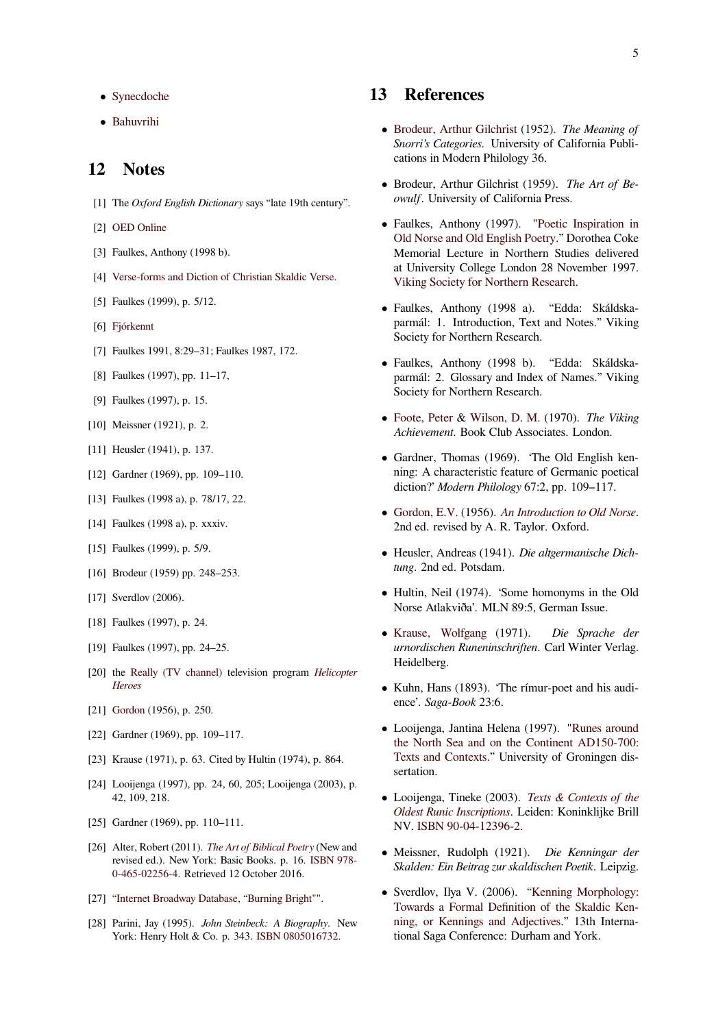- *•* Synecdoche
- *•* Bahuvrihi

#### **12 [Note](https://en.wikipedia.org/wiki/Bahuvrihi)[s](https://en.wikipedia.org/wiki/Synecdoche)**

- [1] The *Oxford English Dictionary* says "late 19th century".
- [2] OED Online
- [3] Faulkes, Anthony (1998 b).
- [4] Verse-forms and Diction of Christian Skaldic Verse.
- [5] Faulkes (1999), p. 5/12.
- [6] [Fjórkennt](http://skaldic.arts.usyd.edu.au/db.php?table=doc&id=303)
- [7] Faulkes 1991, 8:29–31; Faulkes 1987, 172.
- [8] [Faulkes \(1](http://www.hi.is/~eybjorn/ugm/kennings/4kennt.html)997), pp. 11–17,
- [9] Faulkes (1997), p. 15.
- [10] Meissner (1921), p. 2.
- [11] Heusler (1941), p. 137.
- [12] Gardner (1969), pp. 109-110.
- [13] Faulkes (1998 a), p. 78/17, 22.
- [14] Faulkes (1998 a), p. xxxiv.
- [15] Faulkes (1999), p. 5/9.
- [16] Brodeur (1959) pp. 248–253.
- [17] Sverdlov (2006).
- [18] Faulkes (1997), p. 24.
- [19] Faulkes (1997), pp. 24–25.
- [20] the Really (TV channel) television program *Helicopter Heroes*
- [21] Gordon (1956), p. 250.
- [22] [Gar](https://en.wikipedia.org/wiki/Helicopter_Heroes)[dner \(1969\), pp. 109–](https://en.wikipedia.org/wiki/Really_(TV_channel))117.
- [23] Krause (1971), p. 63. Cited by Hultin (1974), p. 864.
- [24] Looijenga (1997), pp. 24, 60, 205; Looijenga (2003), p. 42, 109, 218.
- [25] Gardner (1969), pp. 110–111.
- [26] Alter, Robert (2011). *The Art of Biblical Poetry* (New and revised ed.). New York: Basic Books. p. 16. ISBN 978- 0-465-02256-4. Retrieved 12 October 2016.
- [27] "Internet Broadway D[atabase, "Burning Bright"](https://books.google.com/books?id=MjsAfGYEOBoC)".
- [28] Parini, Jay (1995). *John Steinbeck: A Biogr[aphy](https://en.wikipedia.org/wiki/International_Standard_Book_Number)*. [New](https://en.wikipedia.org/wiki/Special:BookSources/978-0-465-02256-4) [York: Henry Ho](https://en.wikipedia.org/wiki/Special:BookSources/978-0-465-02256-4)lt & Co. p. 343. ISBN 0805016732.

#### **13 References**

- *•* Brodeur, Arthur Gilchrist (1952). *The Meaning of Snorri's Categories*. University of California Publications in Modern Philology 36.
- *•* [Brodeur, Arthur Gilchrist](https://en.wikipedia.org/wiki/Arthur_Gilchrist_Brodeur) (1959). *The Art of Beowulf*. University of California Press.
- *•* Faulkes, Anthony (1997). "Poetic Inspiration in Old Norse and Old English Poetry." Dorothea Coke Memorial Lecture in Northern Studies delivered at University College London 28 November 1997. Viking Society for Northern [Research.](http://vsnrweb-publications.org.uk/Faulkes.pdf)
- *•* [Faulkes, Anthony \(1998 a\). "E](http://vsnrweb-publications.org.uk/Faulkes.pdf)dda: Skáldskaparmál: 1. Introduction, Text and Notes." Viking [Society for Northern Research.](https://en.wikipedia.org/wiki/Viking_Society_for_Northern_Research)
- *•* Faulkes, Anthony (1998 b). "Edda: Skáldskaparmál: 2. Glossary and Index of Names." Viking Society for Northern Research.
- *•* Foote, Peter & Wilson, D. M. (1970). *The Viking Achievement*. Book Club Associates. London.
- *•* Gardner, Thomas (1969). 'The Old English ken[ning: A char](https://en.wikipedia.org/wiki/Peter_Foote)act[eristic feature o](https://en.wikipedia.org/wiki/David_M._Wilson)f Germanic poetical diction?' *Modern Philology* 67:2, pp. 109–117.
- *•* Gordon, E.V. (1956). *An Introduction to Old Norse*. 2nd ed. revised by A. R. Taylor. Oxford.
- *•* Heusler, Andreas (1941). *Die altgermanische Dichtung*[. 2nd ed.](https://en.wikipedia.org/wiki/E._V._Gordon) Potsda[m.](https://en.wikipedia.org/wiki/An_Introduction_to_Old_Norse)
- *•* Hultin, Neil (1974). 'Some homonyms in the Old Norse Atlakviða'. MLN 89:5, German Issue.
- *•* Krause, Wolfgang (1971). *Die Sprache der urnordischen Runeninschriften*. Carl Winter Verlag. Heidelberg.
- *•* [Kuhn, Hans \(1893\)](https://en.wikipedia.org/wiki/Wolfgang_Krause). 'The rímur-poet and his audience'. *Saga-Book* 23:6.
- *•* Looijenga, Jantina Helena (1997). "Runes around the North Sea and on the Continent AD150-700: Texts and Contexts." University of Groningen dissertation.
- *•* [Looijenga, Tineke \(2003\).](http://dissertations.ub.rug.nl/faculties/arts/1997/j.h.looijenga/) *Texts & [Contexts of the](http://dissertations.ub.rug.nl/faculties/arts/1997/j.h.looijenga/) [Oldest Runic Inscrip](http://dissertations.ub.rug.nl/faculties/arts/1997/j.h.looijenga/)tions*. Leiden: Koninklijke Brill NV. ISBN 90-04-12396-2.
- *•* Meissner, Rudolph (1921). *[Die Kenningar der](https://books.google.com/books?id=-edm1fMPbXwC&printsec=frontcover#v=onepage&q=&f=false) [Skalden: Ein Beitrag zur s](https://books.google.com/books?id=-edm1fMPbXwC&printsec=frontcover#v=onepage&q=&f=false)kaldischen Poetik*. Leipzig.
- *•* Sver[dlov,](https://en.wikipedia.org/wiki/International_Standard_Book_Number) [Ilya V. \(2006\).](https://en.wikipedia.org/wiki/Special:BookSources/90-04-12396-2) "Kenning Morphology: Towards a Formal Definition of the Skaldic Kenning, or Kennings and Adjectives." 13th International Saga Conference: Durham and York.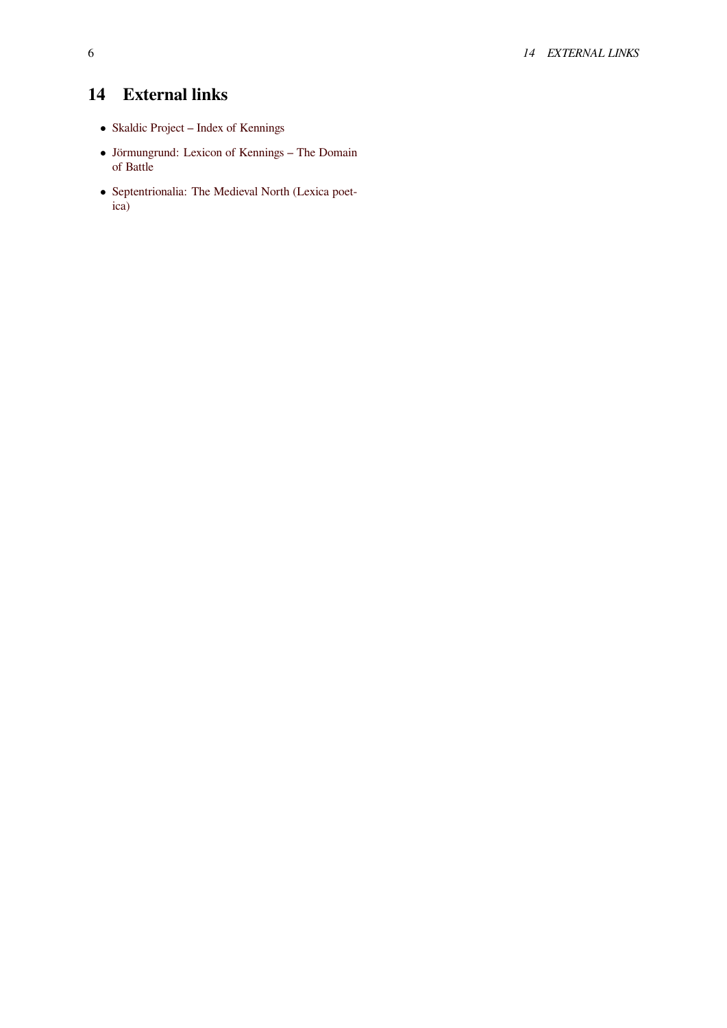# **14 External links**

- *•* Skaldic Project Index of Kennings
- *•* Jörmungrund: Lexicon of Kennings The Domain of Battle
- *•* [Septentrionalia: The Medieval North](http://skaldic.arts.usyd.edu.au/db.php?table=kenning) (Lexica poet[ica\)](http://www.hi.is/~eybjorn/ugm/kennings/kennings.html)